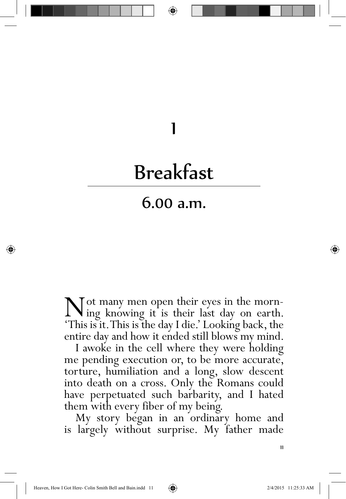## 1

## Breakfast

## 6.00 a.m.

Not many men open their eyes in the morn-ing knowing it is their last day on earth. 'This is it. This is the day I die.' Looking back, the entire day and how it ended still blows my mind.

I awoke in the cell where they were holding me pending execution or, to be more accurate, torture, humiliation and a long, slow descent into death on a cross. Only the Romans could have perpetuated such barbarity, and I hated them with every fiber of my being.

My story began in an ordinary home and is largely without surprise. My father made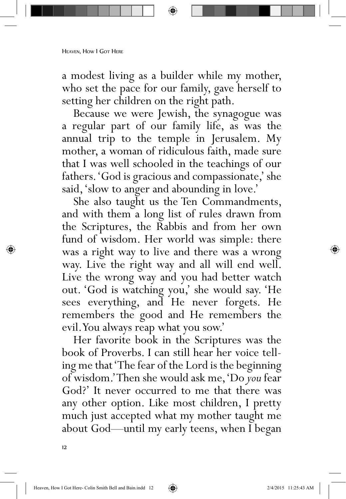a modest living as a builder while my mother, who set the pace for our family, gave herself to setting her children on the right path.

Because we were Jewish, the synagogue was a regular part of our family life, as was the annual trip to the temple in Jerusalem. My mother, a woman of ridiculous faith, made sure that I was well schooled in the teachings of our fathers. 'God is gracious and compassionate,' she said, 'slow to anger and abounding in love.'

She also taught us the Ten Commandments, and with them a long list of rules drawn from the Scriptures, the Rabbis and from her own fund of wisdom. Her world was simple: there was a right way to live and there was a wrong way. Live the right way and all will end well. Live the wrong way and you had better watch out. 'God is watching you,' she would say. 'He sees everything, and He never forgets. He remembers the good and He remembers the evil. You always reap what you sow.'

Her favorite book in the Scriptures was the book of Proverbs. I can still hear her voice telling me that 'The fear of the Lord is the beginning of wisdom.' Then she would ask me, 'Do *you* fear God?' It never occurred to me that there was any other option. Like most children, I pretty much just accepted what my mother taught me about God—until my early teens, when I began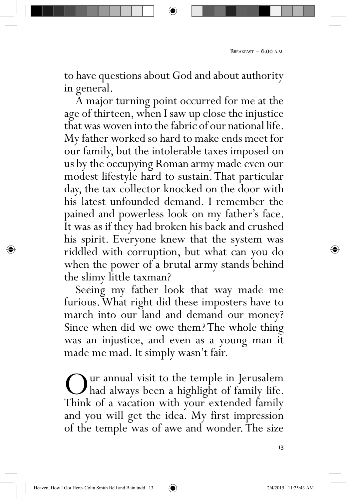to have questions about God and about authority in general.

A major turning point occurred for me at the age of thirteen, when I saw up close the injustice that was woven into the fabric of our national life. My father worked so hard to make ends meet for our family, but the intolerable taxes imposed on us by the occupying Roman army made even our modest lifestyle hard to sustain. That particular day, the tax collector knocked on the door with his latest unfounded demand. I remember the pained and powerless look on my father's face. It was as if they had broken his back and crushed his spirit. Everyone knew that the system was riddled with corruption, but what can you do when the power of a brutal army stands behind the slimy little taxman?

Seeing my father look that way made me furious. What right did these imposters have to march into our land and demand our money? Since when did we owe them? The whole thing was an injustice, and even as a young man it made me mad. It simply wasn't fair.

Our annual visit to the temple in Jerusalem<br>Think of a vacation with your extended family Think of a vacation with your extended family and you will get the idea. My first impression of the temple was of awe and wonder. The size

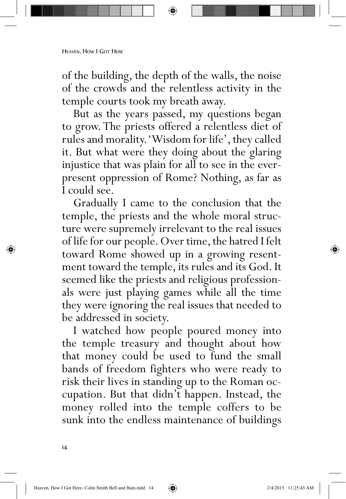## HEAVEN, HOW I GOT HERE

of the building, the depth of the walls, the noise of the crowds and the relentless activity in the temple courts took my breath away.

But as the years passed, my questions began to grow. The priests offered a relentless diet of rules and morality. 'Wisdom for life', they called it. But what were they doing about the glaring injustice that was plain for all to see in the everpresent oppression of Rome? Nothing, as far as I could see.

Gradually I came to the conclusion that the temple, the priests and the whole moral structure were supremely irrelevant to the real issues of life for our people. Over time, the hatred I felt toward Rome showed up in a growing resentment toward the temple, its rules and its God. It seemed like the priests and religious professionals were just playing games while all the time they were ignoring the real issues that needed to be addressed in society.

I watched how people poured money into the temple treasury and thought about how that money could be used to fund the small bands of freedom fighters who were ready to risk their lives in standing up to the Roman occupation. But that didn't happen. Instead, the money rolled into the temple coffers to be sunk into the endless maintenance of buildings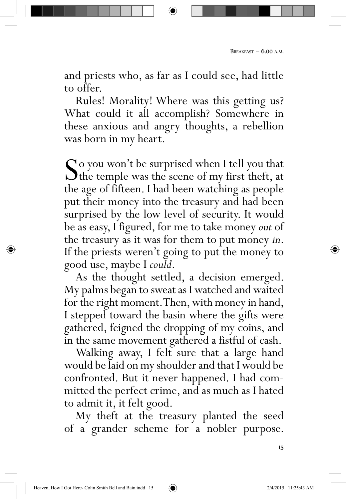and priests who, as far as I could see, had little to offer.

Rules! Morality! Where was this getting us? What could it all accomplish? Somewhere in these anxious and angry thoughts, a rebellion was born in my heart.

So you won't be surprised when I tell you that<br>the temple was the scene of my first theft, at<br>the age of fifteen. I had been watching as people the age of fifteen. I had been watching as people put their money into the treasury and had been surprised by the low level of security. It would be as easy, I figured, for me to take money *out* of the treasury as it was for them to put money *in*. If the priests weren't going to put the money to good use, maybe I *could*.<br>As the thought settled, a decision emerged.

My palms began to sweat as I watched and waited for the right moment. Then, with money in hand, I stepped toward the basin where the gifts were gathered, feigned the dropping of my coins, and in the same movement gathered a fistful of cash.

Walking away, I felt sure that a large hand would be laid on my shoulder and that I would be confronted. But it never happened. I had committed the perfect crime, and as much as I hated to admit it, it felt good.

My theft at the treasury planted the seed of a grander scheme for a nobler purpose.

15

⇔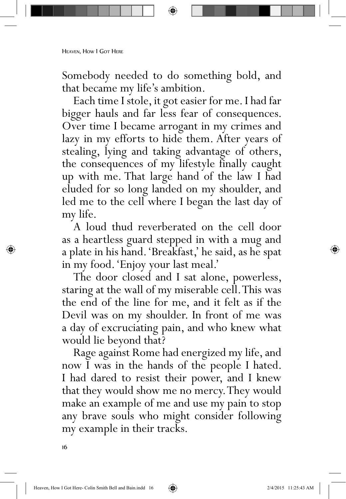Somebody needed to do something bold, and that became my life's ambition.

Each time I stole, it got easier for me. I had far bigger hauls and far less fear of consequences. Over time I became arrogant in my crimes and lazy in my efforts to hide them. After years of stealing, lying and taking advantage of others, the consequences of my lifestyle finally caught up with me. That large hand of the law I had eluded for so long landed on my shoulder, and led me to the cell where I began the last day of my life.

A loud thud reverberated on the cell door as a heartless guard stepped in with a mug and a plate in his hand. 'Breakfast,' he said, as he spat in my food. 'Enjoy your last meal.'

The door closed and I sat alone, powerless, staring at the wall of my miserable cell. This was the end of the line for me, and it felt as if the Devil was on my shoulder. In front of me was a day of excruciating pain, and who knew what would lie beyond that?

Rage against Rome had energized my life, and now I was in the hands of the people I hated. I had dared to resist their power, and I knew that they would show me no mercy. They would make an example of me and use my pain to stop any brave souls who might consider following my example in their tracks.